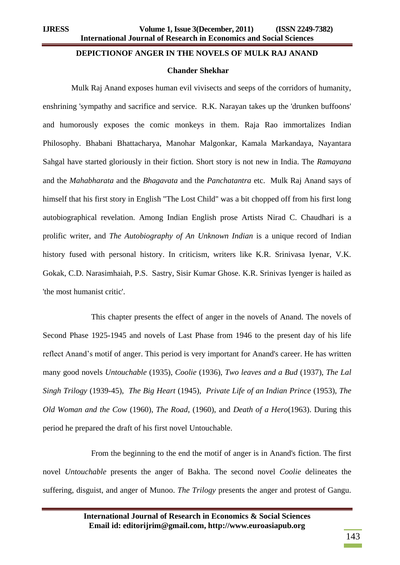## **DEPICTIONOF ANGER IN THE NOVELS OF MULK RAJ ANAND**

## **Chander Shekhar**

Mulk Raj Anand exposes human evil vivisects and seeps of the corridors of humanity, enshrining 'sympathy and sacrifice and service. R.K. Narayan takes up the 'drunken buffoons' and humorously exposes the comic monkeys in them. Raja Rao immortalizes Indian Philosophy. Bhabani Bhattacharya, Manohar Malgonkar, Kamala Markandaya, Nayantara Sahgal have started gloriously in their fiction. Short story is not new in India. The *Ramayana* and the *Mahabharata* and the *Bhagavata* and the *Panchatantra* etc. Mulk Raj Anand says of himself that his first story in English "The Lost Child" was a bit chopped off from his first long autobiographical revelation. Among Indian English prose Artists Nirad C. Chaudhari is a prolific writer, and *The Autobiography of An Unknown Indian* is a unique record of Indian history fused with personal history. In criticism, writers like K.R. Srinivasa Iyenar, V.K. Gokak, C.D. Narasimhaiah, P.S. Sastry, Sisir Kumar Ghose. K.R. Srinivas Iyenger is hailed as 'the most humanist critic'.

This chapter presents the effect of anger in the novels of Anand. The novels of Second Phase 1925-1945 and novels of Last Phase from 1946 to the present day of his life reflect Anand's motif of anger. This period is very important for Anand's career. He has written many good novels *Untouchable* (1935), *Coolie* (1936), *Two leaves and a Bud* (1937), *The Lal Singh Trilogy* (1939-45), *The Big Heart* (1945), *Private Life of an Indian Prince* (1953), *The Old Woman and the Cow* (1960), *The Road*, (1960), and *Death of a Hero*(1963). During this period he prepared the draft of his first novel Untouchable.

From the beginning to the end the motif of anger is in Anand's fiction. The first novel *Untouchable* presents the anger of Bakha. The second novel *Coolie* delineates the suffering, disguist, and anger of Munoo. *The Trilogy* presents the anger and protest of Gangu.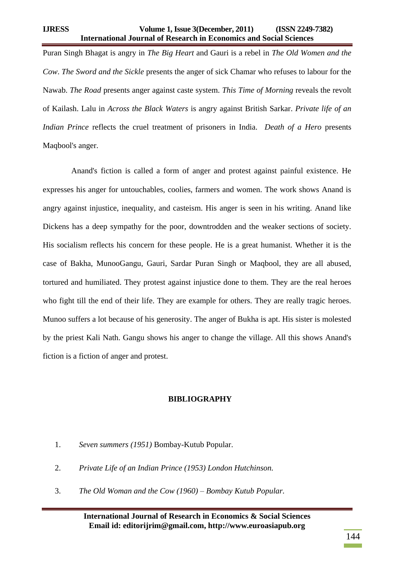## **IJRESS Volume 1, Issue 3(December, 2011) (ISSN 2249-7382) International Journal of Research in Economics and Social Sciences**

Puran Singh Bhagat is angry in *The Big Heart* and Gauri is a rebel in *The Old Women and the Cow*. *The Sword and the Sickle* presents the anger of sick Chamar who refuses to labour for the Nawab. *The Road* presents anger against caste system. *This Time of Morning* reveals the revolt of Kailash. Lalu in *Across the Black Waters* is angry against British Sarkar. *Private life of an Indian Prince* reflects the cruel treatment of prisoners in India. *Death of a Hero* presents Maqbool's anger.

Anand's fiction is called a form of anger and protest against painful existence. He expresses his anger for untouchables, coolies, farmers and women. The work shows Anand is angry against injustice, inequality, and casteism. His anger is seen in his writing. Anand like Dickens has a deep sympathy for the poor, downtrodden and the weaker sections of society. His socialism reflects his concern for these people. He is a great humanist. Whether it is the case of Bakha, MunooGangu, Gauri, Sardar Puran Singh or Maqbool, they are all abused, tortured and humiliated. They protest against injustice done to them. They are the real heroes who fight till the end of their life. They are example for others. They are really tragic heroes. Munoo suffers a lot because of his generosity. The anger of Bukha is apt. His sister is molested by the priest Kali Nath. Gangu shows his anger to change the village. All this shows Anand's fiction is a fiction of anger and protest.

## **BIBLIOGRAPHY**

- 1. *Seven summers (1951)* Bombay-Kutub Popular.
- 2. *Private Life of an Indian Prince (1953) London Hutchinson.*
- 3. *The Old Woman and the Cow (1960) – Bombay Kutub Popular.*